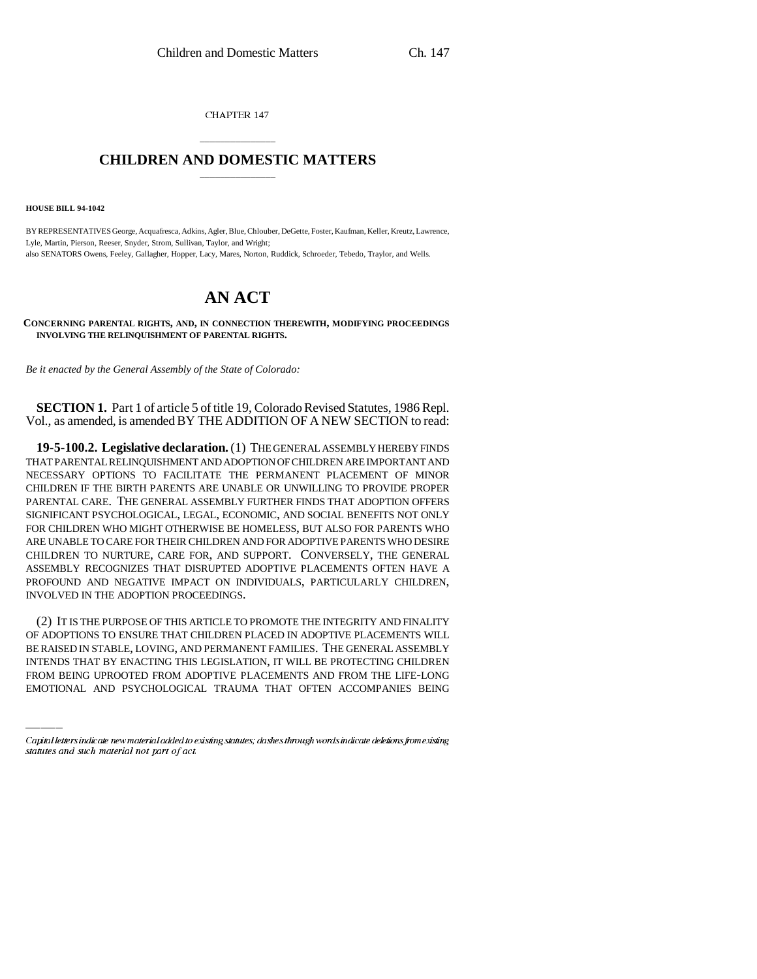CHAPTER 147

## \_\_\_\_\_\_\_\_\_\_\_\_\_\_\_ **CHILDREN AND DOMESTIC MATTERS** \_\_\_\_\_\_\_\_\_\_\_\_\_\_\_

**HOUSE BILL 94-1042**

BY REPRESENTATIVES George, Acquafresca, Adkins, Agler, Blue, Chlouber, DeGette, Foster, Kaufman, Keller, Kreutz, Lawrence, Lyle, Martin, Pierson, Reeser, Snyder, Strom, Sullivan, Taylor, and Wright; also SENATORS Owens, Feeley, Gallagher, Hopper, Lacy, Mares, Norton, Ruddick, Schroeder, Tebedo, Traylor, and Wells.

## **AN ACT**

## **CONCERNING PARENTAL RIGHTS, AND, IN CONNECTION THEREWITH, MODIFYING PROCEEDINGS INVOLVING THE RELINQUISHMENT OF PARENTAL RIGHTS.**

*Be it enacted by the General Assembly of the State of Colorado:*

**SECTION 1.** Part 1 of article 5 of title 19, Colorado Revised Statutes, 1986 Repl. Vol., as amended, is amended BY THE ADDITION OF A NEW SECTION to read:

**19-5-100.2. Legislative declaration.** (1) THE GENERAL ASSEMBLY HEREBY FINDS THAT PARENTAL RELINQUISHMENT AND ADOPTION OF CHILDREN ARE IMPORTANT AND NECESSARY OPTIONS TO FACILITATE THE PERMANENT PLACEMENT OF MINOR CHILDREN IF THE BIRTH PARENTS ARE UNABLE OR UNWILLING TO PROVIDE PROPER PARENTAL CARE. THE GENERAL ASSEMBLY FURTHER FINDS THAT ADOPTION OFFERS SIGNIFICANT PSYCHOLOGICAL, LEGAL, ECONOMIC, AND SOCIAL BENEFITS NOT ONLY FOR CHILDREN WHO MIGHT OTHERWISE BE HOMELESS, BUT ALSO FOR PARENTS WHO ARE UNABLE TO CARE FOR THEIR CHILDREN AND FOR ADOPTIVE PARENTS WHO DESIRE CHILDREN TO NURTURE, CARE FOR, AND SUPPORT. CONVERSELY, THE GENERAL ASSEMBLY RECOGNIZES THAT DISRUPTED ADOPTIVE PLACEMENTS OFTEN HAVE A PROFOUND AND NEGATIVE IMPACT ON INDIVIDUALS, PARTICULARLY CHILDREN, INVOLVED IN THE ADOPTION PROCEEDINGS.

OF ADOPTIONS TO ENSURE THAT CHILDREN PLACED IN ADOPTIVE PLACEMENTS WILL (2) IT IS THE PURPOSE OF THIS ARTICLE TO PROMOTE THE INTEGRITY AND FINALITY BE RAISED IN STABLE, LOVING, AND PERMANENT FAMILIES. THE GENERAL ASSEMBLY INTENDS THAT BY ENACTING THIS LEGISLATION, IT WILL BE PROTECTING CHILDREN FROM BEING UPROOTED FROM ADOPTIVE PLACEMENTS AND FROM THE LIFE-LONG EMOTIONAL AND PSYCHOLOGICAL TRAUMA THAT OFTEN ACCOMPANIES BEING

Capital letters indicate new material added to existing statutes; dashes through words indicate deletions from existing statutes and such material not part of act.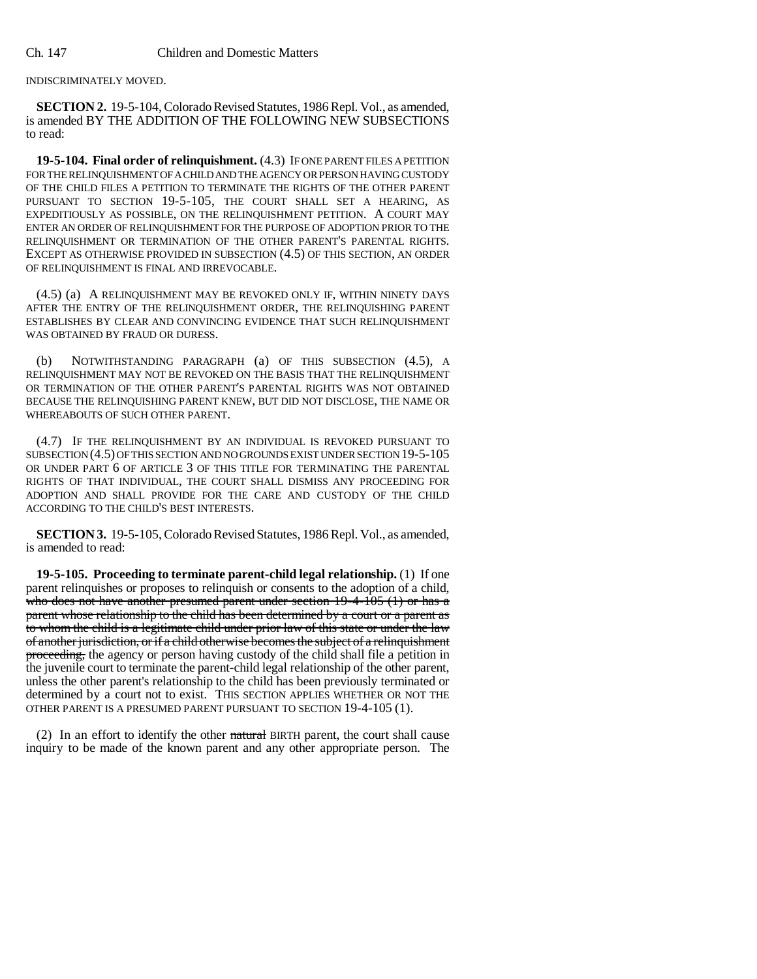INDISCRIMINATELY MOVED.

**SECTION 2.** 19-5-104, Colorado Revised Statutes, 1986 Repl. Vol., as amended, is amended BY THE ADDITION OF THE FOLLOWING NEW SUBSECTIONS to read:

**19-5-104. Final order of relinquishment.** (4.3) IF ONE PARENT FILES A PETITION FOR THE RELINQUISHMENT OF A CHILD AND THE AGENCY OR PERSON HAVING CUSTODY OF THE CHILD FILES A PETITION TO TERMINATE THE RIGHTS OF THE OTHER PARENT PURSUANT TO SECTION 19-5-105, THE COURT SHALL SET A HEARING, AS EXPEDITIOUSLY AS POSSIBLE, ON THE RELINQUISHMENT PETITION. A COURT MAY ENTER AN ORDER OF RELINQUISHMENT FOR THE PURPOSE OF ADOPTION PRIOR TO THE RELINQUISHMENT OR TERMINATION OF THE OTHER PARENT'S PARENTAL RIGHTS. EXCEPT AS OTHERWISE PROVIDED IN SUBSECTION (4.5) OF THIS SECTION, AN ORDER OF RELINQUISHMENT IS FINAL AND IRREVOCABLE.

(4.5) (a) A RELINQUISHMENT MAY BE REVOKED ONLY IF, WITHIN NINETY DAYS AFTER THE ENTRY OF THE RELINQUISHMENT ORDER, THE RELINQUISHING PARENT ESTABLISHES BY CLEAR AND CONVINCING EVIDENCE THAT SUCH RELINQUISHMENT WAS OBTAINED BY FRAUD OR DURESS.

(b) NOTWITHSTANDING PARAGRAPH (a) OF THIS SUBSECTION (4.5), A RELINQUISHMENT MAY NOT BE REVOKED ON THE BASIS THAT THE RELINQUISHMENT OR TERMINATION OF THE OTHER PARENT'S PARENTAL RIGHTS WAS NOT OBTAINED BECAUSE THE RELINQUISHING PARENT KNEW, BUT DID NOT DISCLOSE, THE NAME OR WHEREABOUTS OF SUCH OTHER PARENT.

(4.7) IF THE RELINQUISHMENT BY AN INDIVIDUAL IS REVOKED PURSUANT TO SUBSECTION (4.5) OF THIS SECTION AND NO GROUNDS EXIST UNDER SECTION 19-5-105 OR UNDER PART 6 OF ARTICLE 3 OF THIS TITLE FOR TERMINATING THE PARENTAL RIGHTS OF THAT INDIVIDUAL, THE COURT SHALL DISMISS ANY PROCEEDING FOR ADOPTION AND SHALL PROVIDE FOR THE CARE AND CUSTODY OF THE CHILD ACCORDING TO THE CHILD'S BEST INTERESTS.

**SECTION 3.** 19-5-105, Colorado Revised Statutes, 1986 Repl. Vol., as amended, is amended to read:

**19-5-105. Proceeding to terminate parent-child legal relationship.** (1) If one parent relinquishes or proposes to relinquish or consents to the adoption of a child, who does not have another presumed parent under section 19-4-105 (1) or has a parent whose relationship to the child has been determined by a court or a parent as to whom the child is a legitimate child under prior law of this state or under the law of another jurisdiction, or if a child otherwise becomes the subject of a relinquishment proceeding, the agency or person having custody of the child shall file a petition in the juvenile court to terminate the parent-child legal relationship of the other parent, unless the other parent's relationship to the child has been previously terminated or determined by a court not to exist. THIS SECTION APPLIES WHETHER OR NOT THE OTHER PARENT IS A PRESUMED PARENT PURSUANT TO SECTION 19-4-105 (1).

(2) In an effort to identify the other natural BIRTH parent, the court shall cause inquiry to be made of the known parent and any other appropriate person. The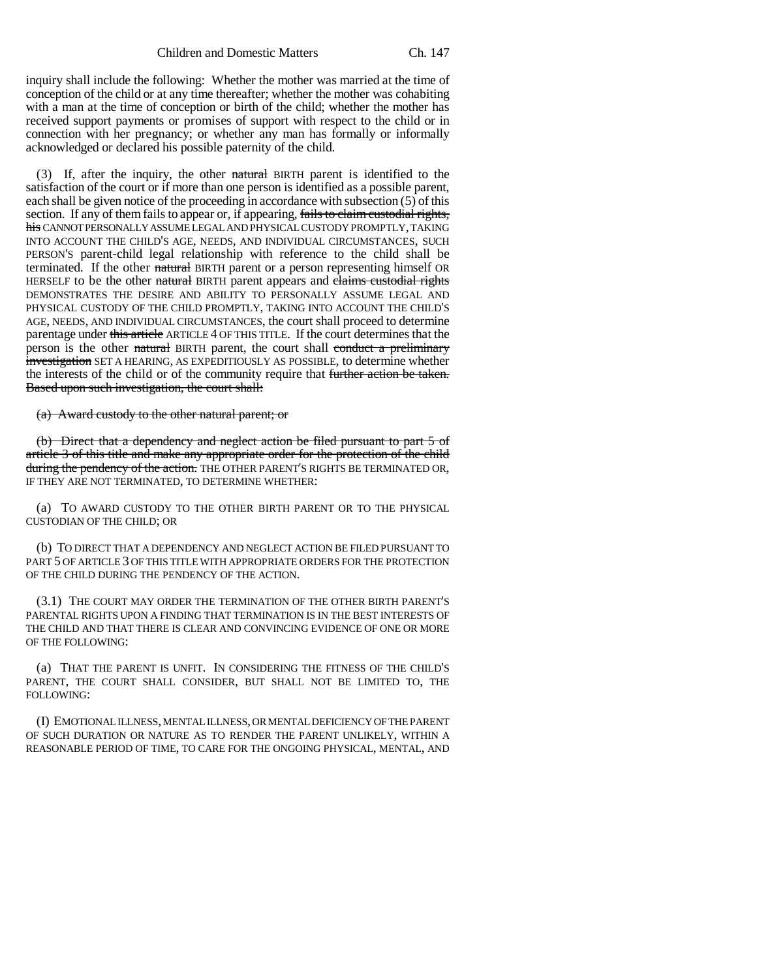inquiry shall include the following: Whether the mother was married at the time of conception of the child or at any time thereafter; whether the mother was cohabiting with a man at the time of conception or birth of the child; whether the mother has received support payments or promises of support with respect to the child or in connection with her pregnancy; or whether any man has formally or informally acknowledged or declared his possible paternity of the child.

(3) If, after the inquiry, the other natural BIRTH parent is identified to the satisfaction of the court or if more than one person is identified as a possible parent, each shall be given notice of the proceeding in accordance with subsection (5) of this section. If any of them fails to appear or, if appearing, fails to claim custodial rights, his CANNOT PERSONALLY ASSUME LEGAL AND PHYSICAL CUSTODY PROMPTLY, TAKING INTO ACCOUNT THE CHILD'S AGE, NEEDS, AND INDIVIDUAL CIRCUMSTANCES, SUCH PERSON'S parent-child legal relationship with reference to the child shall be terminated. If the other natural BIRTH parent or a person representing himself OR HERSELF to be the other natural BIRTH parent appears and claims custodial rights DEMONSTRATES THE DESIRE AND ABILITY TO PERSONALLY ASSUME LEGAL AND PHYSICAL CUSTODY OF THE CHILD PROMPTLY, TAKING INTO ACCOUNT THE CHILD'S AGE, NEEDS, AND INDIVIDUAL CIRCUMSTANCES, the court shall proceed to determine parentage under this article ARTICLE 4 OF THIS TITLE. If the court determines that the person is the other natural BIRTH parent, the court shall conduct a preliminary investigation SET A HEARING, AS EXPEDITIOUSLY AS POSSIBLE, to determine whether the interests of the child or of the community require that further action be taken. Based upon such investigation, the court shall:

(a) Award custody to the other natural parent; or

(b) Direct that a dependency and neglect action be filed pursuant to part 5 of article 3 of this title and make any appropriate order for the protection of the child during the pendency of the action. THE OTHER PARENT'S RIGHTS BE TERMINATED OR, IF THEY ARE NOT TERMINATED, TO DETERMINE WHETHER:

(a) TO AWARD CUSTODY TO THE OTHER BIRTH PARENT OR TO THE PHYSICAL CUSTODIAN OF THE CHILD; OR

(b) TO DIRECT THAT A DEPENDENCY AND NEGLECT ACTION BE FILED PURSUANT TO PART 5 OF ARTICLE 3 OF THIS TITLE WITH APPROPRIATE ORDERS FOR THE PROTECTION OF THE CHILD DURING THE PENDENCY OF THE ACTION.

(3.1) THE COURT MAY ORDER THE TERMINATION OF THE OTHER BIRTH PARENT'S PARENTAL RIGHTS UPON A FINDING THAT TERMINATION IS IN THE BEST INTERESTS OF THE CHILD AND THAT THERE IS CLEAR AND CONVINCING EVIDENCE OF ONE OR MORE OF THE FOLLOWING:

(a) THAT THE PARENT IS UNFIT. IN CONSIDERING THE FITNESS OF THE CHILD'S PARENT, THE COURT SHALL CONSIDER, BUT SHALL NOT BE LIMITED TO, THE FOLLOWING:

(I) EMOTIONAL ILLNESS, MENTAL ILLNESS, OR MENTAL DEFICIENCY OF THE PARENT OF SUCH DURATION OR NATURE AS TO RENDER THE PARENT UNLIKELY, WITHIN A REASONABLE PERIOD OF TIME, TO CARE FOR THE ONGOING PHYSICAL, MENTAL, AND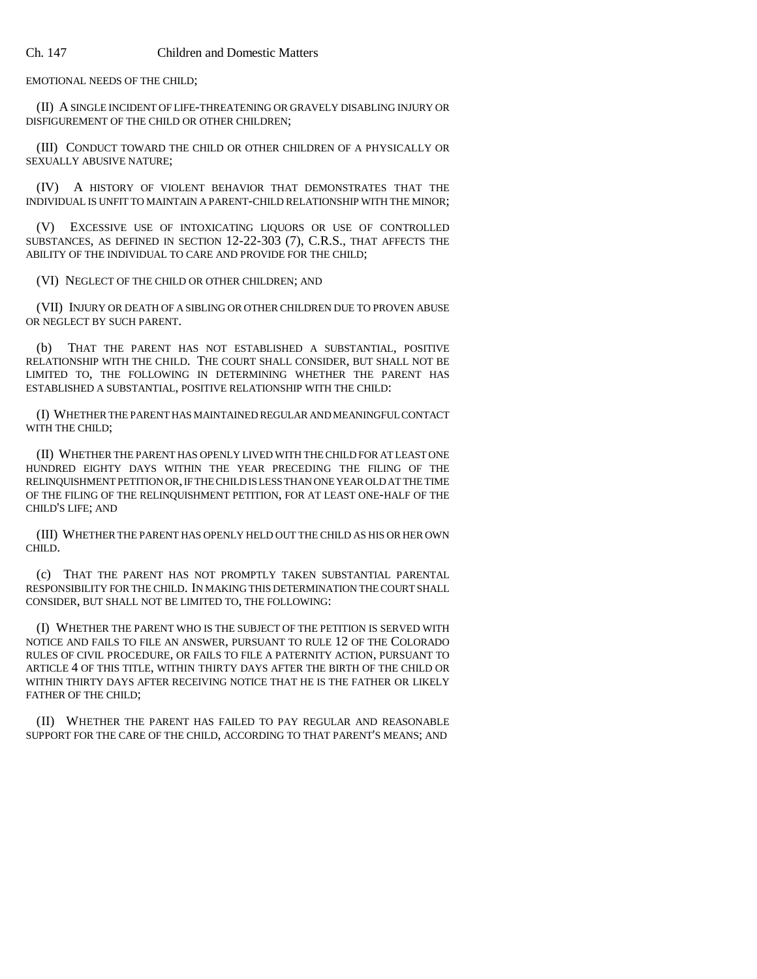EMOTIONAL NEEDS OF THE CHILD;

(II) A SINGLE INCIDENT OF LIFE-THREATENING OR GRAVELY DISABLING INJURY OR DISFIGUREMENT OF THE CHILD OR OTHER CHILDREN;

(III) CONDUCT TOWARD THE CHILD OR OTHER CHILDREN OF A PHYSICALLY OR SEXUALLY ABUSIVE NATURE;

(IV) A HISTORY OF VIOLENT BEHAVIOR THAT DEMONSTRATES THAT THE INDIVIDUAL IS UNFIT TO MAINTAIN A PARENT-CHILD RELATIONSHIP WITH THE MINOR;

(V) EXCESSIVE USE OF INTOXICATING LIQUORS OR USE OF CONTROLLED SUBSTANCES, AS DEFINED IN SECTION 12-22-303 (7), C.R.S., THAT AFFECTS THE ABILITY OF THE INDIVIDUAL TO CARE AND PROVIDE FOR THE CHILD;

(VI) NEGLECT OF THE CHILD OR OTHER CHILDREN; AND

(VII) INJURY OR DEATH OF A SIBLING OR OTHER CHILDREN DUE TO PROVEN ABUSE OR NEGLECT BY SUCH PARENT.

(b) THAT THE PARENT HAS NOT ESTABLISHED A SUBSTANTIAL, POSITIVE RELATIONSHIP WITH THE CHILD. THE COURT SHALL CONSIDER, BUT SHALL NOT BE LIMITED TO, THE FOLLOWING IN DETERMINING WHETHER THE PARENT HAS ESTABLISHED A SUBSTANTIAL, POSITIVE RELATIONSHIP WITH THE CHILD:

(I) WHETHER THE PARENT HAS MAINTAINED REGULAR AND MEANINGFUL CONTACT WITH THE CHILD;

(II) WHETHER THE PARENT HAS OPENLY LIVED WITH THE CHILD FOR AT LEAST ONE HUNDRED EIGHTY DAYS WITHIN THE YEAR PRECEDING THE FILING OF THE RELINQUISHMENT PETITION OR, IF THE CHILD IS LESS THAN ONE YEAR OLD AT THE TIME OF THE FILING OF THE RELINQUISHMENT PETITION, FOR AT LEAST ONE-HALF OF THE CHILD'S LIFE; AND

(III) WHETHER THE PARENT HAS OPENLY HELD OUT THE CHILD AS HIS OR HER OWN CHILD.

(c) THAT THE PARENT HAS NOT PROMPTLY TAKEN SUBSTANTIAL PARENTAL RESPONSIBILITY FOR THE CHILD. IN MAKING THIS DETERMINATION THE COURT SHALL CONSIDER, BUT SHALL NOT BE LIMITED TO, THE FOLLOWING:

(I) WHETHER THE PARENT WHO IS THE SUBJECT OF THE PETITION IS SERVED WITH NOTICE AND FAILS TO FILE AN ANSWER, PURSUANT TO RULE 12 OF THE COLORADO RULES OF CIVIL PROCEDURE, OR FAILS TO FILE A PATERNITY ACTION, PURSUANT TO ARTICLE 4 OF THIS TITLE, WITHIN THIRTY DAYS AFTER THE BIRTH OF THE CHILD OR WITHIN THIRTY DAYS AFTER RECEIVING NOTICE THAT HE IS THE FATHER OR LIKELY FATHER OF THE CHILD;

(II) WHETHER THE PARENT HAS FAILED TO PAY REGULAR AND REASONABLE SUPPORT FOR THE CARE OF THE CHILD, ACCORDING TO THAT PARENT'S MEANS; AND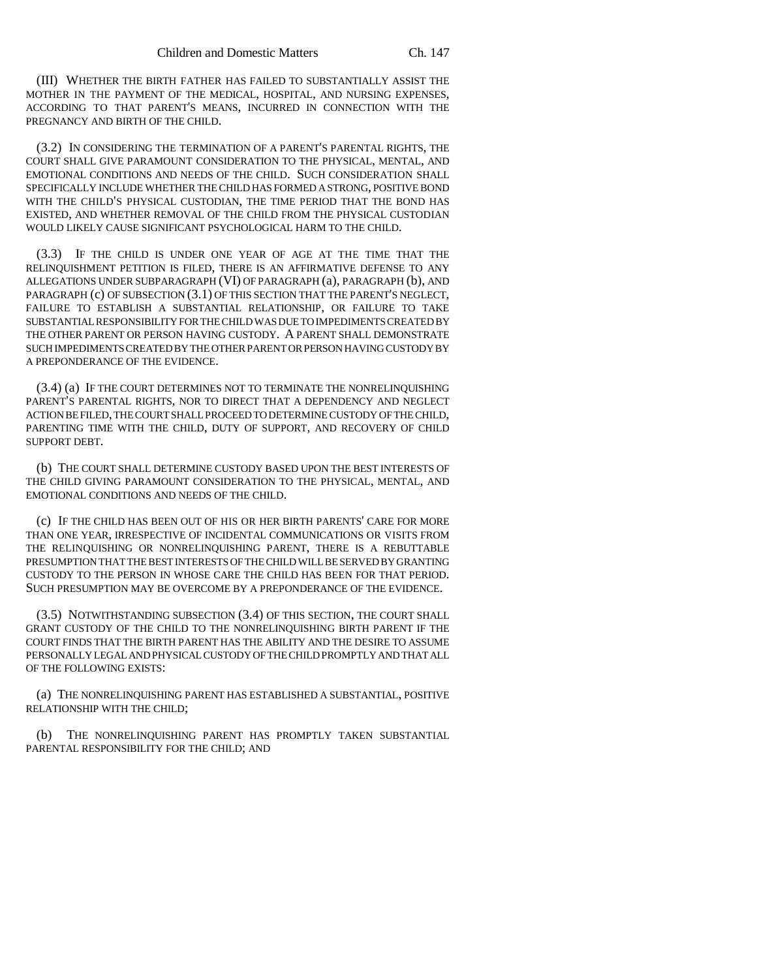(III) WHETHER THE BIRTH FATHER HAS FAILED TO SUBSTANTIALLY ASSIST THE MOTHER IN THE PAYMENT OF THE MEDICAL, HOSPITAL, AND NURSING EXPENSES, ACCORDING TO THAT PARENT'S MEANS, INCURRED IN CONNECTION WITH THE PREGNANCY AND BIRTH OF THE CHILD.

(3.2) IN CONSIDERING THE TERMINATION OF A PARENT'S PARENTAL RIGHTS, THE COURT SHALL GIVE PARAMOUNT CONSIDERATION TO THE PHYSICAL, MENTAL, AND EMOTIONAL CONDITIONS AND NEEDS OF THE CHILD. SUCH CONSIDERATION SHALL SPECIFICALLY INCLUDE WHETHER THE CHILD HAS FORMED A STRONG, POSITIVE BOND WITH THE CHILD'S PHYSICAL CUSTODIAN, THE TIME PERIOD THAT THE BOND HAS EXISTED, AND WHETHER REMOVAL OF THE CHILD FROM THE PHYSICAL CUSTODIAN WOULD LIKELY CAUSE SIGNIFICANT PSYCHOLOGICAL HARM TO THE CHILD.

(3.3) IF THE CHILD IS UNDER ONE YEAR OF AGE AT THE TIME THAT THE RELINQUISHMENT PETITION IS FILED, THERE IS AN AFFIRMATIVE DEFENSE TO ANY ALLEGATIONS UNDER SUBPARAGRAPH (VI) OF PARAGRAPH (a), PARAGRAPH (b), AND PARAGRAPH (c) OF SUBSECTION (3.1) OF THIS SECTION THAT THE PARENT'S NEGLECT, FAILURE TO ESTABLISH A SUBSTANTIAL RELATIONSHIP, OR FAILURE TO TAKE SUBSTANTIAL RESPONSIBILITY FOR THE CHILD WAS DUE TO IMPEDIMENTS CREATED BY THE OTHER PARENT OR PERSON HAVING CUSTODY. A PARENT SHALL DEMONSTRATE SUCH IMPEDIMENTS CREATED BY THE OTHER PARENT OR PERSON HAVING CUSTODY BY A PREPONDERANCE OF THE EVIDENCE.

(3.4) (a) IF THE COURT DETERMINES NOT TO TERMINATE THE NONRELINQUISHING PARENT'S PARENTAL RIGHTS, NOR TO DIRECT THAT A DEPENDENCY AND NEGLECT ACTION BE FILED, THE COURT SHALL PROCEED TO DETERMINE CUSTODY OF THE CHILD, PARENTING TIME WITH THE CHILD, DUTY OF SUPPORT, AND RECOVERY OF CHILD SUPPORT DEBT.

(b) THE COURT SHALL DETERMINE CUSTODY BASED UPON THE BEST INTERESTS OF THE CHILD GIVING PARAMOUNT CONSIDERATION TO THE PHYSICAL, MENTAL, AND EMOTIONAL CONDITIONS AND NEEDS OF THE CHILD.

(c) IF THE CHILD HAS BEEN OUT OF HIS OR HER BIRTH PARENTS' CARE FOR MORE THAN ONE YEAR, IRRESPECTIVE OF INCIDENTAL COMMUNICATIONS OR VISITS FROM THE RELINQUISHING OR NONRELINQUISHING PARENT, THERE IS A REBUTTABLE PRESUMPTION THAT THE BEST INTERESTS OF THE CHILD WILL BE SERVED BY GRANTING CUSTODY TO THE PERSON IN WHOSE CARE THE CHILD HAS BEEN FOR THAT PERIOD. SUCH PRESUMPTION MAY BE OVERCOME BY A PREPONDERANCE OF THE EVIDENCE.

(3.5) NOTWITHSTANDING SUBSECTION (3.4) OF THIS SECTION, THE COURT SHALL GRANT CUSTODY OF THE CHILD TO THE NONRELINQUISHING BIRTH PARENT IF THE COURT FINDS THAT THE BIRTH PARENT HAS THE ABILITY AND THE DESIRE TO ASSUME PERSONALLY LEGAL AND PHYSICAL CUSTODY OF THE CHILD PROMPTLY AND THAT ALL OF THE FOLLOWING EXISTS:

(a) THE NONRELINQUISHING PARENT HAS ESTABLISHED A SUBSTANTIAL, POSITIVE RELATIONSHIP WITH THE CHILD;

(b) THE NONRELINQUISHING PARENT HAS PROMPTLY TAKEN SUBSTANTIAL PARENTAL RESPONSIBILITY FOR THE CHILD; AND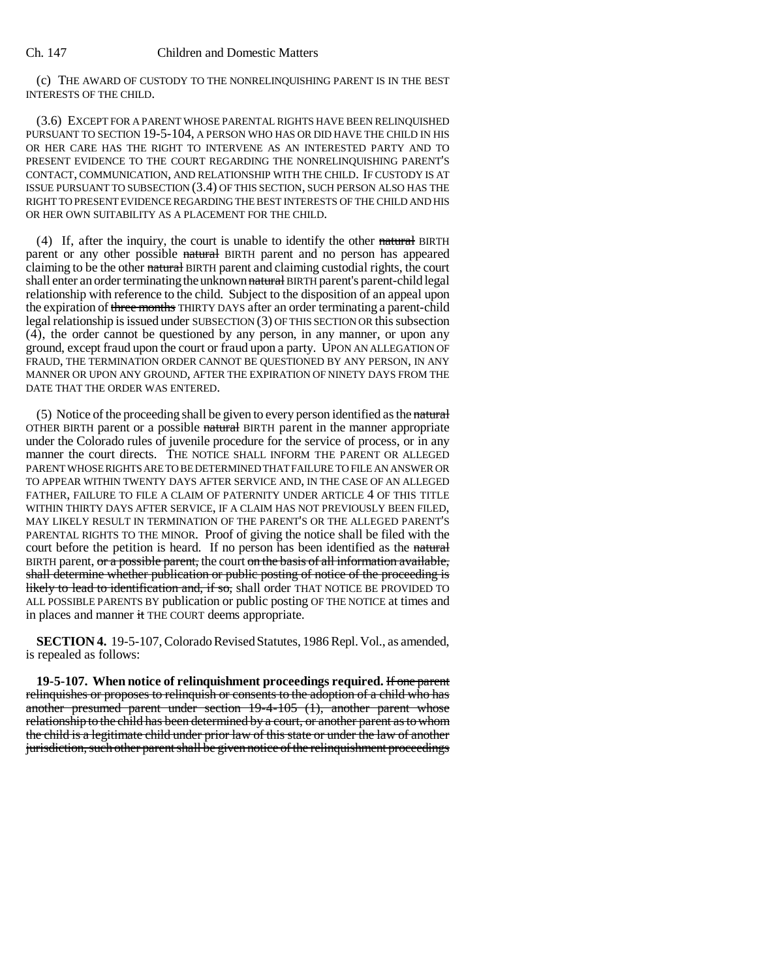## Ch. 147 Children and Domestic Matters

(c) THE AWARD OF CUSTODY TO THE NONRELINQUISHING PARENT IS IN THE BEST INTERESTS OF THE CHILD.

(3.6) EXCEPT FOR A PARENT WHOSE PARENTAL RIGHTS HAVE BEEN RELINQUISHED PURSUANT TO SECTION 19-5-104, A PERSON WHO HAS OR DID HAVE THE CHILD IN HIS OR HER CARE HAS THE RIGHT TO INTERVENE AS AN INTERESTED PARTY AND TO PRESENT EVIDENCE TO THE COURT REGARDING THE NONRELINQUISHING PARENT'S CONTACT, COMMUNICATION, AND RELATIONSHIP WITH THE CHILD. IF CUSTODY IS AT ISSUE PURSUANT TO SUBSECTION (3.4) OF THIS SECTION, SUCH PERSON ALSO HAS THE RIGHT TO PRESENT EVIDENCE REGARDING THE BEST INTERESTS OF THE CHILD AND HIS OR HER OWN SUITABILITY AS A PLACEMENT FOR THE CHILD.

(4) If, after the inquiry, the court is unable to identify the other natural BIRTH parent or any other possible natural BIRTH parent and no person has appeared claiming to be the other natural BIRTH parent and claiming custodial rights, the court shall enter an order terminating the unknown natural BIRTH parent's parent-child legal relationship with reference to the child. Subject to the disposition of an appeal upon the expiration of three months THIRTY DAYS after an order terminating a parent-child legal relationship is issued under SUBSECTION (3) OF THIS SECTION OR this subsection (4), the order cannot be questioned by any person, in any manner, or upon any ground, except fraud upon the court or fraud upon a party. UPON AN ALLEGATION OF FRAUD, THE TERMINATION ORDER CANNOT BE QUESTIONED BY ANY PERSON, IN ANY MANNER OR UPON ANY GROUND, AFTER THE EXPIRATION OF NINETY DAYS FROM THE DATE THAT THE ORDER WAS ENTERED.

(5) Notice of the proceeding shall be given to every person identified as the natural OTHER BIRTH parent or a possible natural BIRTH parent in the manner appropriate under the Colorado rules of juvenile procedure for the service of process, or in any manner the court directs. THE NOTICE SHALL INFORM THE PARENT OR ALLEGED PARENT WHOSE RIGHTS ARE TO BE DETERMINED THAT FAILURE TO FILE AN ANSWER OR TO APPEAR WITHIN TWENTY DAYS AFTER SERVICE AND, IN THE CASE OF AN ALLEGED FATHER, FAILURE TO FILE A CLAIM OF PATERNITY UNDER ARTICLE 4 OF THIS TITLE WITHIN THIRTY DAYS AFTER SERVICE, IF A CLAIM HAS NOT PREVIOUSLY BEEN FILED, MAY LIKELY RESULT IN TERMINATION OF THE PARENT'S OR THE ALLEGED PARENT'S PARENTAL RIGHTS TO THE MINOR. Proof of giving the notice shall be filed with the court before the petition is heard. If no person has been identified as the natural BIRTH parent, or a possible parent, the court on the basis of all information available, shall determine whether publication or public posting of notice of the proceeding is likely to lead to identification and, if so, shall order THAT NOTICE BE PROVIDED TO ALL POSSIBLE PARENTS BY publication or public posting OF THE NOTICE at times and in places and manner it THE COURT deems appropriate.

**SECTION 4.** 19-5-107, Colorado Revised Statutes, 1986 Repl. Vol., as amended, is repealed as follows:

**19-5-107. When notice of relinquishment proceedings required.** If one parent relinquishes or proposes to relinquish or consents to the adoption of a child who has another presumed parent under section 19-4-105 (1), another parent whose relationship to the child has been determined by a court, or another parent as to whom the child is a legitimate child under prior law of this state or under the law of another jurisdiction, such other parent shall be given notice of the relinquishment proceedings